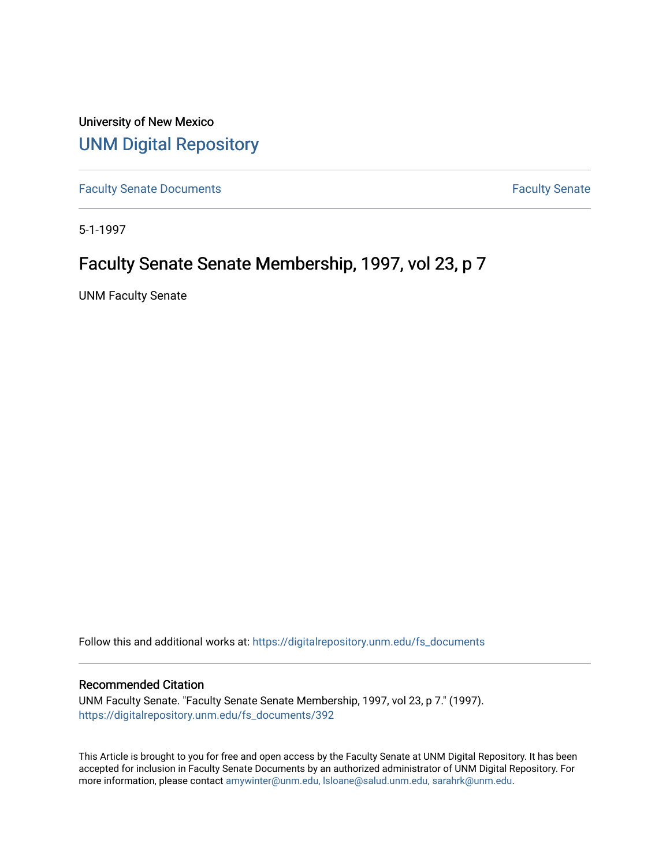University of New Mexico [UNM Digital Repository](https://digitalrepository.unm.edu/) 

[Faculty Senate Documents](https://digitalrepository.unm.edu/fs_documents) **Faculty** Senate **Faculty** Senate

5-1-1997

# Faculty Senate Senate Membership, 1997, vol 23, p 7

UNM Faculty Senate

Follow this and additional works at: [https://digitalrepository.unm.edu/fs\\_documents](https://digitalrepository.unm.edu/fs_documents?utm_source=digitalrepository.unm.edu%2Ffs_documents%2F392&utm_medium=PDF&utm_campaign=PDFCoverPages)

## Recommended Citation

UNM Faculty Senate. "Faculty Senate Senate Membership, 1997, vol 23, p 7." (1997). [https://digitalrepository.unm.edu/fs\\_documents/392](https://digitalrepository.unm.edu/fs_documents/392?utm_source=digitalrepository.unm.edu%2Ffs_documents%2F392&utm_medium=PDF&utm_campaign=PDFCoverPages)

This Article is brought to you for free and open access by the Faculty Senate at UNM Digital Repository. It has been accepted for inclusion in Faculty Senate Documents by an authorized administrator of UNM Digital Repository. For more information, please contact [amywinter@unm.edu, lsloane@salud.unm.edu, sarahrk@unm.edu](mailto:amywinter@unm.edu,%20lsloane@salud.unm.edu,%20sarahrk@unm.edu).